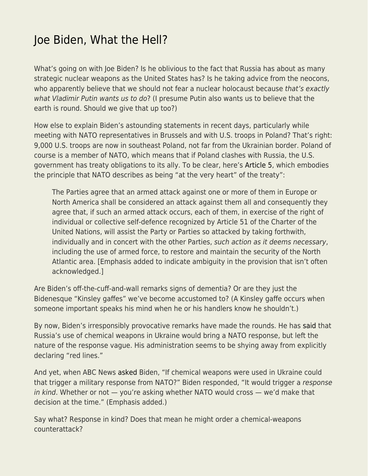## [Joe Biden, What the Hell?](https://everything-voluntary.com/joe-biden-what-the-hell)

What's going on with Joe Biden? Is he oblivious to the fact that Russia has about as many strategic nuclear weapons as the United States has? Is he taking advice from the neocons, who apparently believe that we should not fear a nuclear holocaust because that's exactly what Vladimir Putin wants us to do? (I presume Putin also wants us to believe that the earth is round. Should we give that up too?)

How else to explain Biden's astounding statements in recent days, particularly while meeting with NATO representatives in Brussels and with U.S. troops in Poland? That's right: 9,000 U.S. troops are now in southeast Poland, not far from the Ukrainian border. Poland of course is a member of NATO, which means that if Poland clashes with Russia, the U.S. government has treaty obligations to its ally. To be clear, here's [Article 5,](https://www.nato.int/cps/en/natohq/topics_110496.htm) which embodies the principle that NATO describes as being "at the very heart" of the treaty":

The Parties agree that an armed attack against one or more of them in Europe or North America shall be considered an attack against them all and consequently they agree that, if such an armed attack occurs, each of them, in exercise of the right of individual or collective self-defence recognized by Article 51 of the Charter of the United Nations, will assist the Party or Parties so attacked by taking forthwith, individually and in concert with the other Parties, such action as it deems necessary, including the use of armed force, to restore and maintain the security of the North Atlantic area. [Emphasis added to indicate ambiguity in the provision that isn't often acknowledged.]

Are Biden's off-the-cuff-and-wall remarks signs of dementia? Or are they just the Bidenesque "Kinsley gaffes" we've become accustomed to? (A Kinsley gaffe occurs when someone important speaks his mind when he or his handlers know he shouldn't.)

By now, Biden's irresponsibly provocative remarks have made the rounds. He has [said](https://theweek.com/russo-ukrainian-war/1011742/biden-warns-of-nato-response-should-russia-use-chemical-weapons) that Russia's use of chemical weapons in Ukraine would bring a NATO response, but left the nature of the response vague. His administration seems to be shying away from explicitly declaring "red lines."

And yet, when ABC News [asked](https://abcnews.go.com/Politics/us-nato-respond-putin-chemical-weapons-ukraine-biden/story?id=83648189) Biden, "If chemical weapons were used in Ukraine could that trigger a military response from NATO?" Biden responded, "It would trigger a response in kind. Whether or not — you're asking whether NATO would cross — we'd make that decision at the time." (Emphasis added.)

Say what? Response in kind? Does that mean he might order a chemical-weapons counterattack?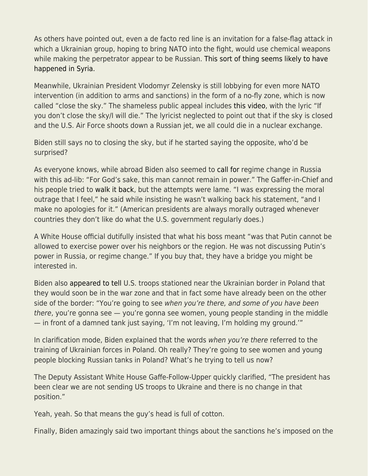As others have pointed out, even a de facto red line is an invitation for a false-flag attack in which a Ukrainian group, hoping to bring NATO into the fight, would use chemical weapons while making the perpetrator appear to be Russian. [This sort of thing seems likely to have](https://thegrayzone.com/2021/04/18/at-un-aaron-mate-debunks-opcws-syria-lies-and-confronts-us-uk-on-cover-up/) [happened in Syria.](https://thegrayzone.com/2021/04/18/at-un-aaron-mate-debunks-opcws-syria-lies-and-confronts-us-uk-on-cover-up/)

Meanwhile, Ukrainian President Vlodomyr Zelensky is still lobbying for even more NATO intervention (in addition to arms and sanctions) in the form of a no-fly zone, which is now called "close the sky." The shameless public appeal includes [this video,](https://youtu.be/0-MijGokF2o) with the lyric "If you don't close the sky/I will die." The lyricist neglected to point out that if the sky is closed and the U.S. Air Force shoots down a Russian jet, we all could die in a nuclear exchange.

Biden still says no to closing the sky, but if he started saying the opposite, who'd be surprised?

As everyone knows, while abroad Biden also seemed to [call for](https://www.npr.org/2022/03/26/1089014039/biden-says-of-putin-for-gods-sake-this-man-cannot-remain-in-power) regime change in Russia with this ad-lib: "For God's sake, this man cannot remain in power." The Gaffer-in-Chief and his people tried to [walk it back,](https://www.npr.org/2022/03/28/1089300515/biden-putin-remarks-regime-change) but the attempts were lame. "I was expressing the moral outrage that I feel," he said while insisting he wasn't walking back his statement, "and I make no apologies for it." (American presidents are always morally outraged whenever countries they don't like do what the U.S. government regularly does.)

A White House official dutifully insisted that what his boss meant "was that Putin cannot be allowed to exercise power over his neighbors or the region. He was not discussing Putin's power in Russia, or regime change." If you buy that, they have a bridge you might be interested in.

Biden also [appeared to tell](https://nypost.com/2022/03/29/biden-appears-to-reveal-us-troops-training-ukraine-forces-in-poland/) U.S. troops stationed near the Ukrainian border in Poland that they would soon be in the war zone and that in fact some have already been on the other side of the border: "You're going to see when you're there, and some of you have been there, you're gonna see — you're gonna see women, young people standing in the middle — in front of a damned tank just saying, 'I'm not leaving, I'm holding my ground.'"

In clarification mode, Biden explained that the words when you're there referred to the training of Ukrainian forces in Poland. Oh really? They're going to see women and young people blocking Russian tanks in Poland? What's he trying to tell us now?

The Deputy Assistant White House Gaffe-Follow-Upper quickly clarified, "The president has been clear we are not sending US troops to Ukraine and there is no change in that position."

Yeah, yeah. So that means the guy's head is full of cotton.

Finally, Biden amazingly said two important things about the sanctions he's imposed on the